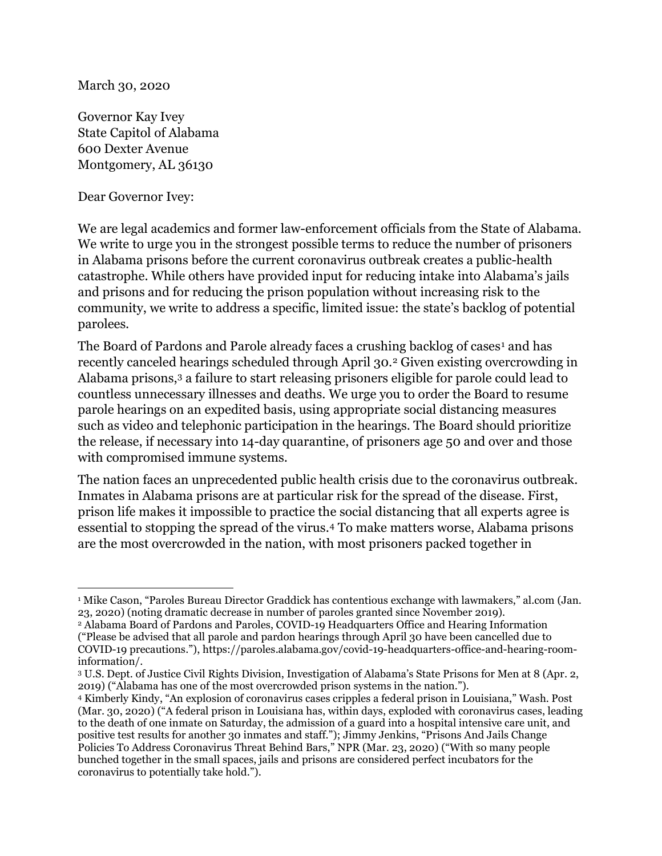March 30, 2020

Governor Kay Ivey State Capitol of Alabama 600 Dexter Avenue Montgomery, AL 36130

Dear Governor Ivey:

We are legal academics and former law-enforcement officials from the State of Alabama. We write to urge you in the strongest possible terms to reduce the number of prisoners in Alabama prisons before the current coronavirus outbreak creates a public-health catastrophe. While others have provided input for reducing intake into Alabama's jails and prisons and for reducing the prison population without increasing risk to the community, we write to address a specific, limited issue: the state's backlog of potential parolees.

The Board of Pardons and Parole already faces a crushing backlog of cases<sup>1</sup> and has recently canceled hearings scheduled through April 30.2 Given existing overcrowding in Alabama prisons,3 a failure to start releasing prisoners eligible for parole could lead to countless unnecessary illnesses and deaths. We urge you to order the Board to resume parole hearings on an expedited basis, using appropriate social distancing measures such as video and telephonic participation in the hearings. The Board should prioritize the release, if necessary into 14-day quarantine, of prisoners age 50 and over and those with compromised immune systems.

The nation faces an unprecedented public health crisis due to the coronavirus outbreak. Inmates in Alabama prisons are at particular risk for the spread of the disease. First, prison life makes it impossible to practice the social distancing that all experts agree is essential to stopping the spread of the virus.4 To make matters worse, Alabama prisons are the most overcrowded in the nation, with most prisoners packed together in

<sup>1</sup> Mike Cason, "Paroles Bureau Director Graddick has contentious exchange with lawmakers," al.com (Jan. 23, 2020) (noting dramatic decrease in number of paroles granted since November 2019).

<sup>2</sup> Alabama Board of Pardons and Paroles, COVID-19 Headquarters Office and Hearing Information ("Please be advised that all parole and pardon hearings through April 30 have been cancelled due to COVID-19 precautions."), https://paroles.alabama.gov/covid-19-headquarters-office-and-hearing-roominformation/.

<sup>3</sup> U.S. Dept. of Justice Civil Rights Division, Investigation of Alabama's State Prisons for Men at 8 (Apr. 2, 2019) ("Alabama has one of the most overcrowded prison systems in the nation.").

<sup>4</sup> Kimberly Kindy, "An explosion of coronavirus cases cripples a federal prison in Louisiana," Wash. Post (Mar. 30, 2020) ("A federal prison in Louisiana has, within days, exploded with coronavirus cases, leading to the death of one inmate on Saturday, the admission of a guard into a hospital intensive care unit, and positive test results for another 30 inmates and staff."); Jimmy Jenkins, "Prisons And Jails Change Policies To Address Coronavirus Threat Behind Bars," NPR (Mar. 23, 2020) ("With so many people bunched together in the small spaces, jails and prisons are considered perfect incubators for the coronavirus to potentially take hold.").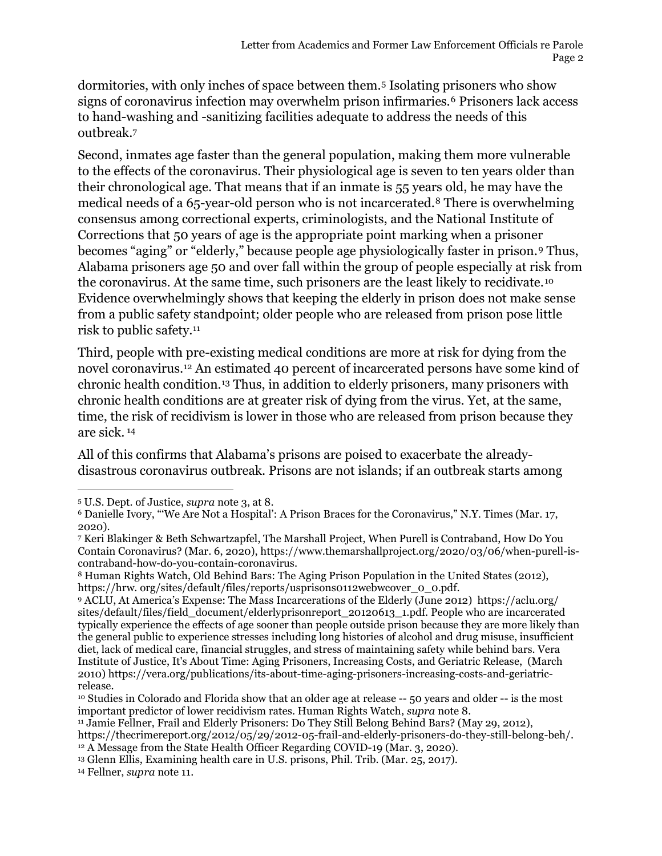dormitories, with only inches of space between them.5 Isolating prisoners who show signs of coronavirus infection may overwhelm prison infirmaries.<sup>6</sup> Prisoners lack access to hand-washing and -sanitizing facilities adequate to address the needs of this outbreak.<sup>7</sup>

Second, inmates age faster than the general population, making them more vulnerable to the effects of the coronavirus. Their physiological age is seven to ten years older than their chronological age. That means that if an inmate is 55 years old, he may have the medical needs of a 65-year-old person who is not incarcerated.8 There is overwhelming consensus among correctional experts, criminologists, and the National Institute of Corrections that 50 years of age is the appropriate point marking when a prisoner becomes "aging" or "elderly," because people age physiologically faster in prison.9 Thus, Alabama prisoners age 50 and over fall within the group of people especially at risk from the coronavirus. At the same time, such prisoners are the least likely to recidivate.<sup>10</sup> Evidence overwhelmingly shows that keeping the elderly in prison does not make sense from a public safety standpoint; older people who are released from prison pose little risk to public safety.<sup>11</sup>

Third, people with pre-existing medical conditions are more at risk for dying from the novel coronavirus.12 An estimated 40 percent of incarcerated persons have some kind of chronic health condition.13 Thus, in addition to elderly prisoners, many prisoners with chronic health conditions are at greater risk of dying from the virus. Yet, at the same, time, the risk of recidivism is lower in those who are released from prison because they are sick.<sup>14</sup>

All of this confirms that Alabama's prisons are poised to exacerbate the alreadydisastrous coronavirus outbreak. Prisons are not islands; if an outbreak starts among

14 Fellner, supra note 11.

<sup>5</sup> U.S. Dept. of Justice, supra note 3, at 8.

<sup>6</sup> Danielle Ivory, "'We Are Not a Hospital': A Prison Braces for the Coronavirus," N.Y. Times (Mar. 17, 2020).

<sup>7</sup> Keri Blakinger & Beth Schwartzapfel, The Marshall Project, When Purell is Contraband, How Do You Contain Coronavirus? (Mar. 6, 2020), https://www.themarshallproject.org/2020/03/06/when-purell-iscontraband-how-do-you-contain-coronavirus.

<sup>8</sup> Human Rights Watch, Old Behind Bars: The Aging Prison Population in the United States (2012), https://hrw.org/sites/default/files/reports/usprisons0112webwcover\_0\_0.pdf.

<sup>9</sup> ACLU, At America's Expense: The Mass Incarcerations of the Elderly (June 2012) https://aclu.org/ sites/default/files/field\_document/elderlyprisonreport\_20120613\_1.pdf. People who are incarcerated typically experience the effects of age sooner than people outside prison because they are more likely than the general public to experience stresses including long histories of alcohol and drug misuse, insufficient diet, lack of medical care, financial struggles, and stress of maintaining safety while behind bars. Vera Institute of Justice, It's About Time: Aging Prisoners, Increasing Costs, and Geriatric Release, (March 2010) https://vera.org/publications/its-about-time-aging-prisoners-increasing-costs-and-geriatricrelease.

<sup>10</sup> Studies in Colorado and Florida show that an older age at release -- 50 years and older -- is the most important predictor of lower recidivism rates. Human Rights Watch, supra note 8.

<sup>11</sup> Jamie Fellner, Frail and Elderly Prisoners: Do They Still Belong Behind Bars? (May 29, 2012),

https://thecrimereport.org/2012/05/29/2012-05-frail-and-elderly-prisoners-do-they-still-belong-beh/. <sup>12</sup> A Message from the State Health Officer Regarding COVID-19 (Mar. 3, 2020).

<sup>13</sup> Glenn Ellis, Examining health care in U.S. prisons, Phil. Trib. (Mar. 25, 2017).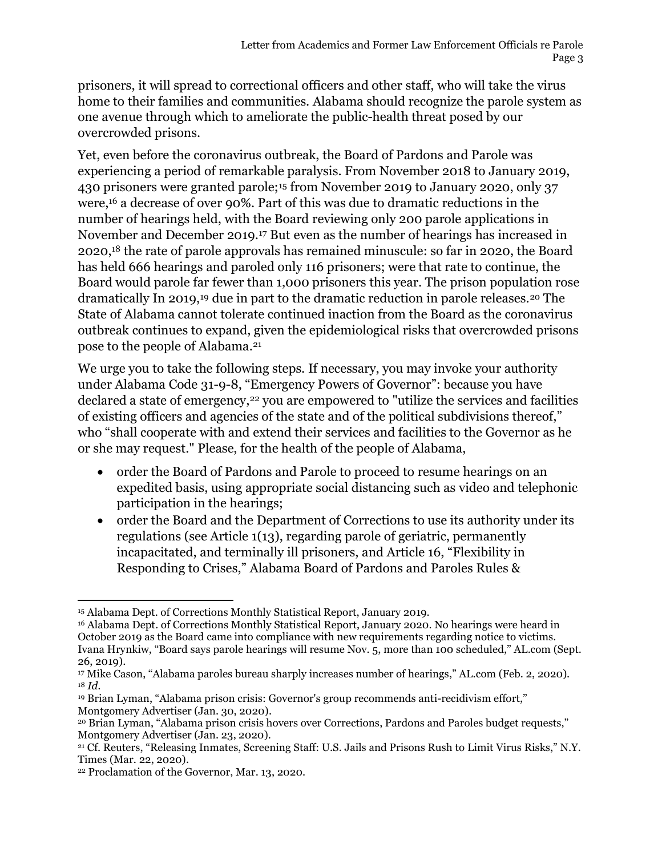prisoners, it will spread to correctional officers and other staff, who will take the virus home to their families and communities. Alabama should recognize the parole system as one avenue through which to ameliorate the public-health threat posed by our overcrowded prisons.

Yet, even before the coronavirus outbreak, the Board of Pardons and Parole was experiencing a period of remarkable paralysis. From November 2018 to January 2019, 430 prisoners were granted parole;15 from November 2019 to January 2020, only 37 were,16 a decrease of over 90%. Part of this was due to dramatic reductions in the number of hearings held, with the Board reviewing only 200 parole applications in November and December 2019.17 But even as the number of hearings has increased in 2020,18 the rate of parole approvals has remained minuscule: so far in 2020, the Board has held 666 hearings and paroled only 116 prisoners; were that rate to continue, the Board would parole far fewer than 1,000 prisoners this year. The prison population rose dramatically In 2019,<sup>19</sup> due in part to the dramatic reduction in parole releases.<sup>20</sup> The State of Alabama cannot tolerate continued inaction from the Board as the coronavirus outbreak continues to expand, given the epidemiological risks that overcrowded prisons pose to the people of Alabama.<sup>21</sup>

We urge you to take the following steps. If necessary, you may invoke your authority under Alabama Code 31-9-8, "Emergency Powers of Governor": because you have declared a state of emergency,<sup>22</sup> you are empowered to "utilize the services and facilities of existing officers and agencies of the state and of the political subdivisions thereof," who "shall cooperate with and extend their services and facilities to the Governor as he or she may request." Please, for the health of the people of Alabama,

- order the Board of Pardons and Parole to proceed to resume hearings on an expedited basis, using appropriate social distancing such as video and telephonic participation in the hearings;
- order the Board and the Department of Corrections to use its authority under its regulations (see Article 1(13), regarding parole of geriatric, permanently incapacitated, and terminally ill prisoners, and Article 16, "Flexibility in Responding to Crises," Alabama Board of Pardons and Paroles Rules &

<sup>15</sup> Alabama Dept. of Corrections Monthly Statistical Report, January 2019.

<sup>&</sup>lt;sup>16</sup> Alabama Dept. of Corrections Monthly Statistical Report, January 2020. No hearings were heard in October 2019 as the Board came into compliance with new requirements regarding notice to victims. Ivana Hrynkiw, "Board says parole hearings will resume Nov. 5, more than 100 scheduled," AL.com (Sept. 26, 2019).

<sup>17</sup> Mike Cason, "Alabama paroles bureau sharply increases number of hearings," AL.com (Feb. 2, 2020).  $18 \text{ Id.}$ 

<sup>19</sup> Brian Lyman, "Alabama prison crisis: Governor's group recommends anti-recidivism effort," Montgomery Advertiser (Jan. 30, 2020).

<sup>20</sup> Brian Lyman, "Alabama prison crisis hovers over Corrections, Pardons and Paroles budget requests," Montgomery Advertiser (Jan. 23, 2020).

<sup>21</sup> Cf. Reuters, "Releasing Inmates, Screening Staff: U.S. Jails and Prisons Rush to Limit Virus Risks," N.Y. Times (Mar. 22, 2020).

<sup>22</sup> Proclamation of the Governor, Mar. 13, 2020.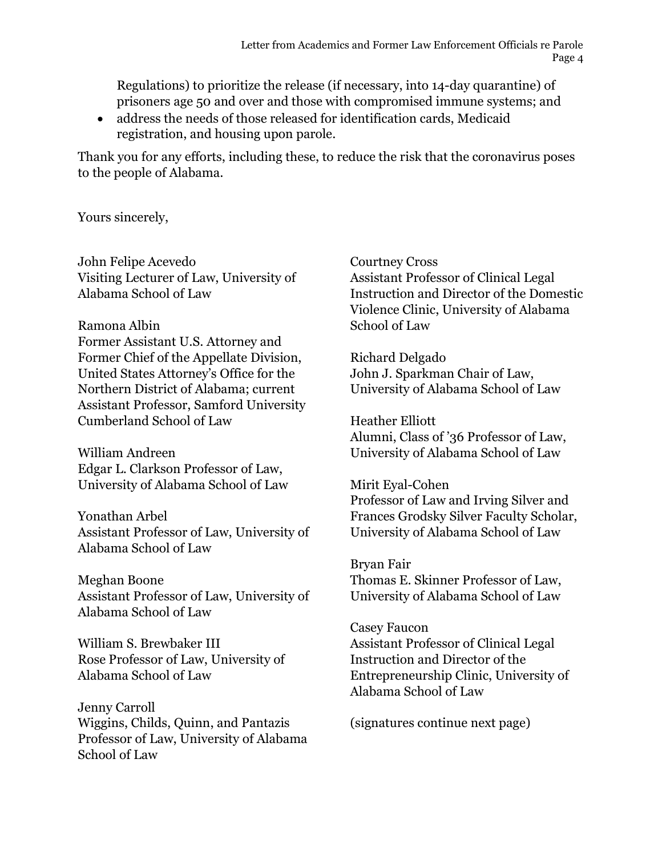Regulations) to prioritize the release (if necessary, into 14-day quarantine) of prisoners age 50 and over and those with compromised immune systems; and

 address the needs of those released for identification cards, Medicaid registration, and housing upon parole.

Thank you for any efforts, including these, to reduce the risk that the coronavirus poses to the people of Alabama.

Yours sincerely,

John Felipe Acevedo Visiting Lecturer of Law, University of Alabama School of Law

Ramona Albin

Former Assistant U.S. Attorney and Former Chief of the Appellate Division, United States Attorney's Office for the Northern District of Alabama; current Assistant Professor, Samford University Cumberland School of Law

William Andreen Edgar L. Clarkson Professor of Law, University of Alabama School of Law

Yonathan Arbel Assistant Professor of Law, University of Alabama School of Law

Meghan Boone Assistant Professor of Law, University of Alabama School of Law

William S. Brewbaker III Rose Professor of Law, University of Alabama School of Law

Jenny Carroll Wiggins, Childs, Quinn, and Pantazis Professor of Law, University of Alabama School of Law

Courtney Cross Assistant Professor of Clinical Legal Instruction and Director of the Domestic Violence Clinic, University of Alabama School of Law

Richard Delgado John J. Sparkman Chair of Law, University of Alabama School of Law

Heather Elliott Alumni, Class of '36 Professor of Law, University of Alabama School of Law

Mirit Eyal-Cohen Professor of Law and Irving Silver and Frances Grodsky Silver Faculty Scholar, University of Alabama School of Law

Bryan Fair Thomas E. Skinner Professor of Law, University of Alabama School of Law

Casey Faucon Assistant Professor of Clinical Legal Instruction and Director of the Entrepreneurship Clinic, University of Alabama School of Law

(signatures continue next page)